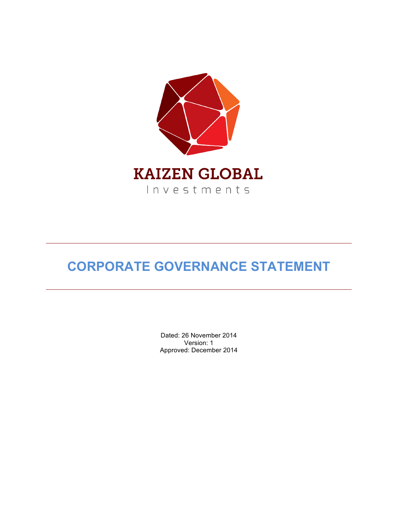

# **CORPORATE GOVERNANCE STATEMENT**

Dated: 26 November 2014 Version: 1 Approved: December 2014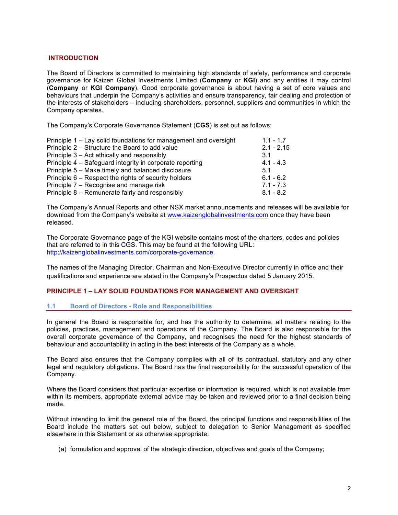# **INTRODUCTION**

The Board of Directors is committed to maintaining high standards of safety, performance and corporate governance for Kaizen Global Investments Limited (**Company** or **KGI**) and any entities it may control (**Company** or **KGI Company**). Good corporate governance is about having a set of core values and behaviours that underpin the Company's activities and ensure transparency, fair dealing and protection of the interests of stakeholders – including shareholders, personnel, suppliers and communities in which the Company operates.

The Company's Corporate Governance Statement (**CGS**) is set out as follows:

| Principle 1 – Lay solid foundations for management and oversight | $1.1 - 1.7$  |
|------------------------------------------------------------------|--------------|
| Principle 2 – Structure the Board to add value                   | $2.1 - 2.15$ |
| Principle 3 – Act ethically and responsibly                      | 3.1          |
| Principle 4 – Safeguard integrity in corporate reporting         | $4.1 - 4.3$  |
| Principle 5 – Make timely and balanced disclosure                | 5.1          |
| Principle 6 – Respect the rights of security holders             | $6.1 - 6.2$  |
| Principle 7 – Recognise and manage risk                          | $7.1 - 7.3$  |
| Principle 8 – Remunerate fairly and responsibly                  | $8.1 - 8.2$  |

The Company's Annual Reports and other NSX market announcements and releases will be available for download from the Company's website at www.kaizenglobalinvestments.com once they have been released.

The Corporate Governance page of the KGI website contains most of the charters, codes and policies that are referred to in this CGS. This may be found at the following URL: http://kaizenglobalinvestments.com/corporate-governance.

The names of the Managing Director, Chairman and Non-Executive Director currently in office and their qualifications and experience are stated in the Company's Prospectus dated 5 January 2015.

# **PRINCIPLE 1 – LAY SOLID FOUNDATIONS FOR MANAGEMENT AND OVERSIGHT**

# **1.1 Board of Directors - Role and Responsibilities**

In general the Board is responsible for, and has the authority to determine, all matters relating to the policies, practices, management and operations of the Company. The Board is also responsible for the overall corporate governance of the Company, and recognises the need for the highest standards of behaviour and accountability in acting in the best interests of the Company as a whole.

The Board also ensures that the Company complies with all of its contractual, statutory and any other legal and regulatory obligations. The Board has the final responsibility for the successful operation of the Company.

Where the Board considers that particular expertise or information is required, which is not available from within its members, appropriate external advice may be taken and reviewed prior to a final decision being made.

Without intending to limit the general role of the Board, the principal functions and responsibilities of the Board include the matters set out below, subject to delegation to Senior Management as specified elsewhere in this Statement or as otherwise appropriate:

(a) formulation and approval of the strategic direction, objectives and goals of the Company;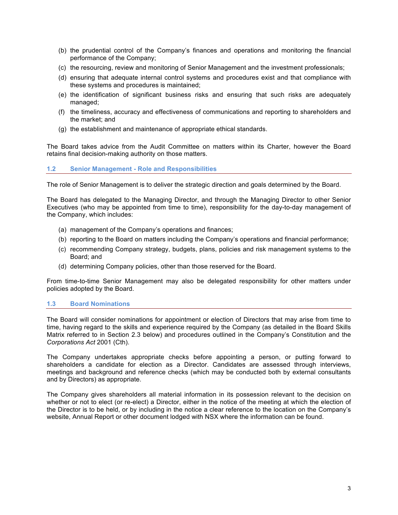- (b) the prudential control of the Company's finances and operations and monitoring the financial performance of the Company;
- (c) the resourcing, review and monitoring of Senior Management and the investment professionals;
- (d) ensuring that adequate internal control systems and procedures exist and that compliance with these systems and procedures is maintained;
- (e) the identification of significant business risks and ensuring that such risks are adequately managed;
- (f) the timeliness, accuracy and effectiveness of communications and reporting to shareholders and the market; and
- (g) the establishment and maintenance of appropriate ethical standards.

The Board takes advice from the Audit Committee on matters within its Charter, however the Board retains final decision-making authority on those matters.

# **1.2 Senior Management - Role and Responsibilities**

The role of Senior Management is to deliver the strategic direction and goals determined by the Board.

The Board has delegated to the Managing Director, and through the Managing Director to other Senior Executives (who may be appointed from time to time), responsibility for the day-to-day management of the Company, which includes:

- (a) management of the Company's operations and finances;
- (b) reporting to the Board on matters including the Company's operations and financial performance;
- (c) recommending Company strategy, budgets, plans, policies and risk management systems to the Board; and
- (d) determining Company policies, other than those reserved for the Board.

From time-to-time Senior Management may also be delegated responsibility for other matters under policies adopted by the Board.

# **1.3 Board Nominations**

The Board will consider nominations for appointment or election of Directors that may arise from time to time, having regard to the skills and experience required by the Company (as detailed in the Board Skills Matrix referred to in Section 2.3 below) and procedures outlined in the Company's Constitution and the *Corporations Act* 2001 (Cth).

The Company undertakes appropriate checks before appointing a person, or putting forward to shareholders a candidate for election as a Director. Candidates are assessed through interviews, meetings and background and reference checks (which may be conducted both by external consultants and by Directors) as appropriate.

The Company gives shareholders all material information in its possession relevant to the decision on whether or not to elect (or re-elect) a Director, either in the notice of the meeting at which the election of the Director is to be held, or by including in the notice a clear reference to the location on the Company's website, Annual Report or other document lodged with NSX where the information can be found.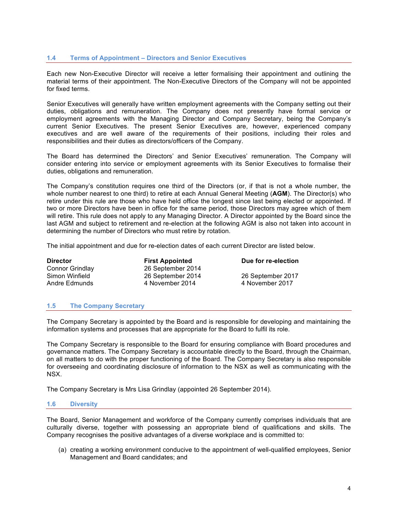# **1.4 Terms of Appointment – Directors and Senior Executives**

Each new Non-Executive Director will receive a letter formalising their appointment and outlining the material terms of their appointment. The Non-Executive Directors of the Company will not be appointed for fixed terms.

Senior Executives will generally have written employment agreements with the Company setting out their duties, obligations and remuneration. The Company does not presently have formal service or employment agreements with the Managing Director and Company Secretary, being the Company's current Senior Executives. The present Senior Executives are, however, experienced company executives and are well aware of the requirements of their positions, including their roles and responsibilities and their duties as directors/officers of the Company.

The Board has determined the Directors' and Senior Executives' remuneration. The Company will consider entering into service or employment agreements with its Senior Executives to formalise their duties, obligations and remuneration.

The Company's constitution requires one third of the Directors (or, if that is not a whole number, the whole number nearest to one third) to retire at each Annual General Meeting (**AGM**). The Director(s) who retire under this rule are those who have held office the longest since last being elected or appointed. If two or more Directors have been in office for the same period, those Directors may agree which of them will retire. This rule does not apply to any Managing Director. A Director appointed by the Board since the last AGM and subject to retirement and re-election at the following AGM is also not taken into account in determining the number of Directors who must retire by rotation.

The initial appointment and due for re-election dates of each current Director are listed below.

**Director First Appointed Due for re-election**<br>
Connor Grindlav 26 September 2014 Connor Grindlay 26 September 2014 26 September 2014 26 September 2017 Andre Edmunds **4 November 2014** 4 November 2017

## **1.5 The Company Secretary**

The Company Secretary is appointed by the Board and is responsible for developing and maintaining the information systems and processes that are appropriate for the Board to fulfil its role.

The Company Secretary is responsible to the Board for ensuring compliance with Board procedures and governance matters. The Company Secretary is accountable directly to the Board, through the Chairman, on all matters to do with the proper functioning of the Board. The Company Secretary is also responsible for overseeing and coordinating disclosure of information to the NSX as well as communicating with the NSX.

The Company Secretary is Mrs Lisa Grindlay (appointed 26 September 2014).

## **1.6 Diversity**

The Board, Senior Management and workforce of the Company currently comprises individuals that are culturally diverse, together with possessing an appropriate blend of qualifications and skills. The Company recognises the positive advantages of a diverse workplace and is committed to:

(a) creating a working environment conducive to the appointment of well-qualified employees, Senior Management and Board candidates; and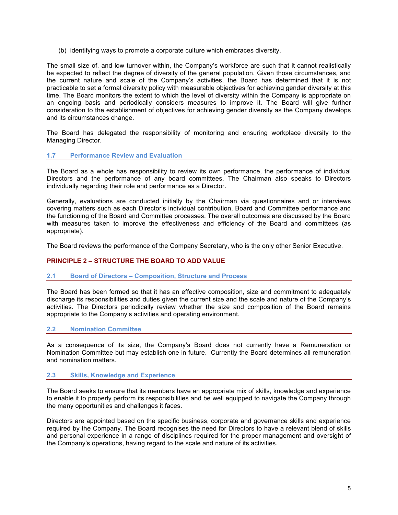(b) identifying ways to promote a corporate culture which embraces diversity.

The small size of, and low turnover within, the Company's workforce are such that it cannot realistically be expected to reflect the degree of diversity of the general population. Given those circumstances, and the current nature and scale of the Company's activities, the Board has determined that it is not practicable to set a formal diversity policy with measurable objectives for achieving gender diversity at this time. The Board monitors the extent to which the level of diversity within the Company is appropriate on an ongoing basis and periodically considers measures to improve it. The Board will give further consideration to the establishment of objectives for achieving gender diversity as the Company develops and its circumstances change.

The Board has delegated the responsibility of monitoring and ensuring workplace diversity to the Managing Director.

# **1.7 Performance Review and Evaluation**

The Board as a whole has responsibility to review its own performance, the performance of individual Directors and the performance of any board committees. The Chairman also speaks to Directors individually regarding their role and performance as a Director.

Generally, evaluations are conducted initially by the Chairman via questionnaires and or interviews covering matters such as each Director's individual contribution, Board and Committee performance and the functioning of the Board and Committee processes. The overall outcomes are discussed by the Board with measures taken to improve the effectiveness and efficiency of the Board and committees (as appropriate).

The Board reviews the performance of the Company Secretary, who is the only other Senior Executive.

# **PRINCIPLE 2 – STRUCTURE THE BOARD TO ADD VALUE**

## **2.1 Board of Directors – Composition, Structure and Process**

The Board has been formed so that it has an effective composition, size and commitment to adequately discharge its responsibilities and duties given the current size and the scale and nature of the Company's activities. The Directors periodically review whether the size and composition of the Board remains appropriate to the Company's activities and operating environment.

## **2.2 Nomination Committee**

As a consequence of its size, the Company's Board does not currently have a Remuneration or Nomination Committee but may establish one in future. Currently the Board determines all remuneration and nomination matters.

## **2.3 Skills, Knowledge and Experience**

The Board seeks to ensure that its members have an appropriate mix of skills, knowledge and experience to enable it to properly perform its responsibilities and be well equipped to navigate the Company through the many opportunities and challenges it faces.

Directors are appointed based on the specific business, corporate and governance skills and experience required by the Company. The Board recognises the need for Directors to have a relevant blend of skills and personal experience in a range of disciplines required for the proper management and oversight of the Company's operations, having regard to the scale and nature of its activities.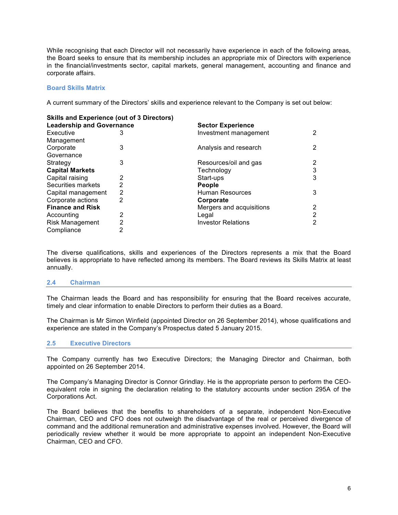While recognising that each Director will not necessarily have experience in each of the following areas, the Board seeks to ensure that its membership includes an appropriate mix of Directors with experience in the financial/investments sector, capital markets, general management, accounting and finance and corporate affairs.

# **Board Skills Matrix**

A current summary of the Directors' skills and experience relevant to the Company is set out below:

| <b>Skills and Experience (out of 3 Directors)</b> |                |                           |   |
|---------------------------------------------------|----------------|---------------------------|---|
| <b>Leadership and Governance</b>                  |                | <b>Sector Experience</b>  |   |
| Executive                                         | 3              | Investment management     | 2 |
| Management                                        |                |                           |   |
| Corporate                                         | 3              | Analysis and research     | 2 |
| Governance                                        |                |                           |   |
| Strategy                                          | 3              | Resources/oil and gas     | 2 |
| <b>Capital Markets</b>                            |                | Technology                | 3 |
| Capital raising                                   | 2              | Start-ups                 | 3 |
| Securities markets                                | $\overline{2}$ | <b>People</b>             |   |
| Capital management                                | $\overline{2}$ | Human Resources           | 3 |
| Corporate actions                                 | 2              | Corporate                 |   |
| <b>Finance and Risk</b>                           |                | Mergers and acquisitions  | 2 |
| Accounting                                        | 2              | Legal                     | 2 |
| Risk Management                                   | 2              | <b>Investor Relations</b> | 2 |
| Compliance                                        | 2              |                           |   |

The diverse qualifications, skills and experiences of the Directors represents a mix that the Board believes is appropriate to have reflected among its members. The Board reviews its Skills Matrix at least annually.

## **2.4 Chairman**

The Chairman leads the Board and has responsibility for ensuring that the Board receives accurate, timely and clear information to enable Directors to perform their duties as a Board.

The Chairman is Mr Simon Winfield (appointed Director on 26 September 2014), whose qualifications and experience are stated in the Company's Prospectus dated 5 January 2015.

## **2.5 Executive Directors**

The Company currently has two Executive Directors; the Managing Director and Chairman, both appointed on 26 September 2014.

The Company's Managing Director is Connor Grindlay. He is the appropriate person to perform the CEOequivalent role in signing the declaration relating to the statutory accounts under section 295A of the Corporations Act.

The Board believes that the benefits to shareholders of a separate, independent Non-Executive Chairman, CEO and CFO does not outweigh the disadvantage of the real or perceived divergence of command and the additional remuneration and administrative expenses involved. However, the Board will periodically review whether it would be more appropriate to appoint an independent Non-Executive Chairman, CEO and CFO.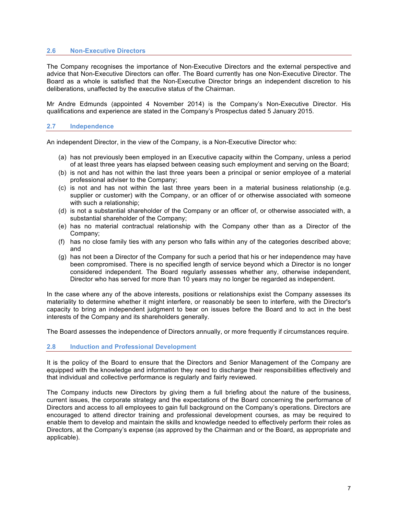# **2.6 Non-Executive Directors**

The Company recognises the importance of Non-Executive Directors and the external perspective and advice that Non-Executive Directors can offer. The Board currently has one Non-Executive Director. The Board as a whole is satisfied that the Non-Executive Director brings an independent discretion to his deliberations, unaffected by the executive status of the Chairman.

Mr Andre Edmunds (appointed 4 November 2014) is the Company's Non-Executive Director. His qualifications and experience are stated in the Company's Prospectus dated 5 January 2015.

## **2.7 Independence**

An independent Director, in the view of the Company, is a Non-Executive Director who:

- (a) has not previously been employed in an Executive capacity within the Company, unless a period of at least three years has elapsed between ceasing such employment and serving on the Board;
- (b) is not and has not within the last three years been a principal or senior employee of a material professional adviser to the Company;
- (c) is not and has not within the last three years been in a material business relationship (e.g. supplier or customer) with the Company, or an officer of or otherwise associated with someone with such a relationship;
- (d) is not a substantial shareholder of the Company or an officer of, or otherwise associated with, a substantial shareholder of the Company;
- (e) has no material contractual relationship with the Company other than as a Director of the Company;
- (f) has no close family ties with any person who falls within any of the categories described above; and
- (g) has not been a Director of the Company for such a period that his or her independence may have been compromised. There is no specified length of service beyond which a Director is no longer considered independent. The Board regularly assesses whether any, otherwise independent, Director who has served for more than 10 years may no longer be regarded as independent.

In the case where any of the above interests, positions or relationships exist the Company assesses its materiality to determine whether it might interfere, or reasonably be seen to interfere, with the Director's capacity to bring an independent judgment to bear on issues before the Board and to act in the best interests of the Company and its shareholders generally.

The Board assesses the independence of Directors annually, or more frequently if circumstances require.

## **2.8 Induction and Professional Development**

It is the policy of the Board to ensure that the Directors and Senior Management of the Company are equipped with the knowledge and information they need to discharge their responsibilities effectively and that individual and collective performance is regularly and fairly reviewed.

The Company inducts new Directors by giving them a full briefing about the nature of the business, current issues, the corporate strategy and the expectations of the Board concerning the performance of Directors and access to all employees to gain full background on the Company's operations. Directors are encouraged to attend director training and professional development courses, as may be required to enable them to develop and maintain the skills and knowledge needed to effectively perform their roles as Directors, at the Company's expense (as approved by the Chairman and or the Board, as appropriate and applicable).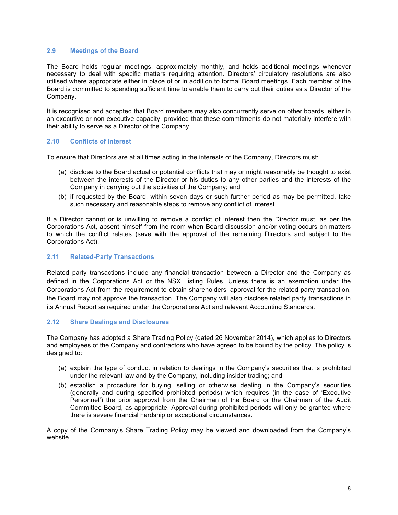# **2.9 Meetings of the Board**

The Board holds regular meetings, approximately monthly, and holds additional meetings whenever necessary to deal with specific matters requiring attention. Directors' circulatory resolutions are also utilised where appropriate either in place of or in addition to formal Board meetings. Each member of the Board is committed to spending sufficient time to enable them to carry out their duties as a Director of the Company.

It is recognised and accepted that Board members may also concurrently serve on other boards, either in an executive or non-executive capacity, provided that these commitments do not materially interfere with their ability to serve as a Director of the Company.

# **2.10 Conflicts of Interest**

To ensure that Directors are at all times acting in the interests of the Company, Directors must:

- (a) disclose to the Board actual or potential conflicts that may or might reasonably be thought to exist between the interests of the Director or his duties to any other parties and the interests of the Company in carrying out the activities of the Company; and
- (b) if requested by the Board, within seven days or such further period as may be permitted, take such necessary and reasonable steps to remove any conflict of interest.

If a Director cannot or is unwilling to remove a conflict of interest then the Director must, as per the Corporations Act, absent himself from the room when Board discussion and/or voting occurs on matters to which the conflict relates (save with the approval of the remaining Directors and subject to the Corporations Act).

## **2.11 Related-Party Transactions**

Related party transactions include any financial transaction between a Director and the Company as defined in the Corporations Act or the NSX Listing Rules. Unless there is an exemption under the Corporations Act from the requirement to obtain shareholders' approval for the related party transaction, the Board may not approve the transaction. The Company will also disclose related party transactions in its Annual Report as required under the Corporations Act and relevant Accounting Standards.

## **2.12 Share Dealings and Disclosures**

The Company has adopted a Share Trading Policy (dated 26 November 2014), which applies to Directors and employees of the Company and contractors who have agreed to be bound by the policy. The policy is designed to:

- (a) explain the type of conduct in relation to dealings in the Company's securities that is prohibited under the relevant law and by the Company, including insider trading; and
- (b) establish a procedure for buying, selling or otherwise dealing in the Company's securities (generally and during specified prohibited periods) which requires (in the case of 'Executive Personnel') the prior approval from the Chairman of the Board or the Chairman of the Audit Committee Board, as appropriate. Approval during prohibited periods will only be granted where there is severe financial hardship or exceptional circumstances.

A copy of the Company's Share Trading Policy may be viewed and downloaded from the Company's website.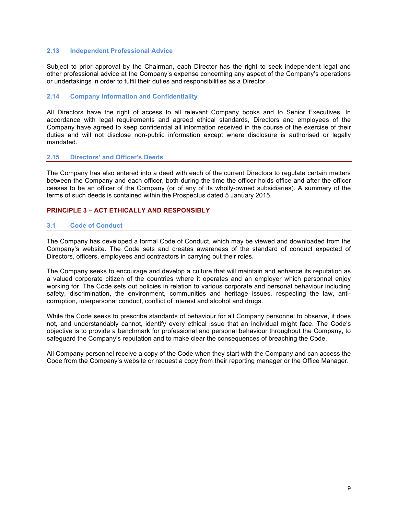# **2.13 Independent Professional Advice**

Subject to prior approval by the Chairman, each Director has the right to seek independent legal and other professional advice at the Company's expense concerning any aspect of the Company's operations or undertakings in order to fulfil their duties and responsibilities as a Director.

## **2.14 Company Information and Confidentiality**

All Directors have the right of access to all relevant Company books and to Senior Executives. In accordance with legal requirements and agreed ethical standards, Directors and employees of the Company have agreed to keep confidential all information received in the course of the exercise of their duties and will not disclose non-public information except where disclosure is authorised or legally mandated.

# **2.15 Directors' and Officer's Deeds**

The Company has also entered into a deed with each of the current Directors to regulate certain matters between the Company and each officer, both during the time the officer holds office and after the officer ceases to be an officer of the Company (or of any of its wholly-owned subsidiaries). A summary of the terms of such deeds is contained within the Prospectus dated 5 January 2015.

# **PRINCIPLE 3 – ACT ETHICALLY AND RESPONSIBLY**

# **3.1 Code of Conduct**

The Company has developed a formal Code of Conduct, which may be viewed and downloaded from the Company's website. The Code sets and creates awareness of the standard of conduct expected of Directors, officers, employees and contractors in carrying out their roles.

The Company seeks to encourage and develop a culture that will maintain and enhance its reputation as a valued corporate citizen of the countries where it operates and an employer which personnel enjoy working for. The Code sets out policies in relation to various corporate and personal behaviour including safety, discrimination, the environment, communities and heritage issues, respecting the law, anticorruption, interpersonal conduct, conflict of interest and alcohol and drugs.

While the Code seeks to prescribe standards of behaviour for all Company personnel to observe, it does not, and understandably cannot, identify every ethical issue that an individual might face. The Code's objective is to provide a benchmark for professional and personal behaviour throughout the Company, to safeguard the Company's reputation and to make clear the consequences of breaching the Code.

All Company personnel receive a copy of the Code when they start with the Company and can access the Code from the Company's website or request a copy from their reporting manager or the Office Manager.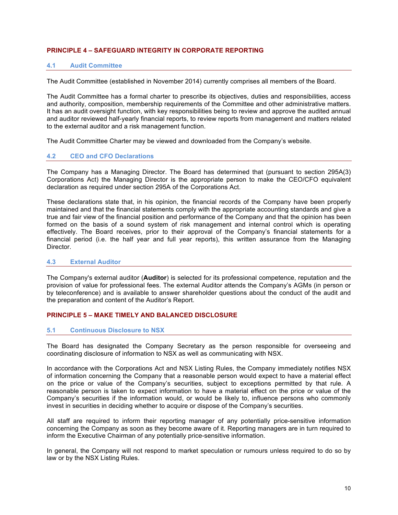# **PRINCIPLE 4 – SAFEGUARD INTEGRITY IN CORPORATE REPORTING**

# **4.1 Audit Committee**

The Audit Committee (established in November 2014) currently comprises all members of the Board.

The Audit Committee has a formal charter to prescribe its objectives, duties and responsibilities, access and authority, composition, membership requirements of the Committee and other administrative matters. It has an audit oversight function, with key responsibilities being to review and approve the audited annual and auditor reviewed half-yearly financial reports, to review reports from management and matters related to the external auditor and a risk management function.

The Audit Committee Charter may be viewed and downloaded from the Company's website.

## **4.2 CEO and CFO Declarations**

The Company has a Managing Director. The Board has determined that (pursuant to section 295A(3) Corporations Act) the Managing Director is the appropriate person to make the CEO/CFO equivalent declaration as required under section 295A of the Corporations Act.

These declarations state that, in his opinion, the financial records of the Company have been properly maintained and that the financial statements comply with the appropriate accounting standards and give a true and fair view of the financial position and performance of the Company and that the opinion has been formed on the basis of a sound system of risk management and internal control which is operating effectively. The Board receives, prior to their approval of the Company's financial statements for a financial period (i.e. the half year and full year reports), this written assurance from the Managing Director.

## **4.3 External Auditor**

The Company's external auditor (**Auditor**) is selected for its professional competence, reputation and the provision of value for professional fees. The external Auditor attends the Company's AGMs (in person or by teleconference) and is available to answer shareholder questions about the conduct of the audit and the preparation and content of the Auditor's Report.

# **PRINCIPLE 5 – MAKE TIMELY AND BALANCED DISCLOSURE**

## **5.1 Continuous Disclosure to NSX**

The Board has designated the Company Secretary as the person responsible for overseeing and coordinating disclosure of information to NSX as well as communicating with NSX.

In accordance with the Corporations Act and NSX Listing Rules, the Company immediately notifies NSX of information concerning the Company that a reasonable person would expect to have a material effect on the price or value of the Company's securities, subject to exceptions permitted by that rule. A reasonable person is taken to expect information to have a material effect on the price or value of the Company's securities if the information would, or would be likely to, influence persons who commonly invest in securities in deciding whether to acquire or dispose of the Company's securities.

All staff are required to inform their reporting manager of any potentially price-sensitive information concerning the Company as soon as they become aware of it. Reporting managers are in turn required to inform the Executive Chairman of any potentially price-sensitive information.

In general, the Company will not respond to market speculation or rumours unless required to do so by law or by the NSX Listing Rules.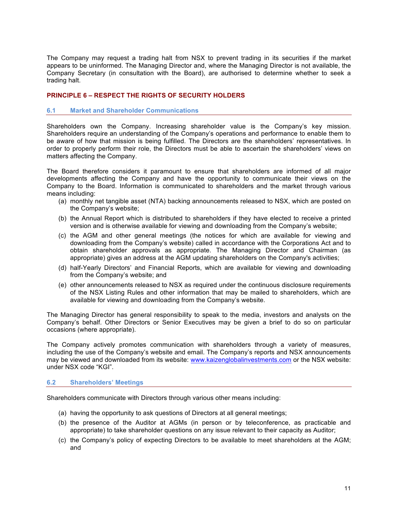The Company may request a trading halt from NSX to prevent trading in its securities if the market appears to be uninformed. The Managing Director and, where the Managing Director is not available, the Company Secretary (in consultation with the Board), are authorised to determine whether to seek a trading halt.

# **PRINCIPLE 6 – RESPECT THE RIGHTS OF SECURITY HOLDERS**

#### **6.1 Market and Shareholder Communications**

Shareholders own the Company. Increasing shareholder value is the Company's key mission. Shareholders require an understanding of the Company's operations and performance to enable them to be aware of how that mission is being fulfilled. The Directors are the shareholders' representatives. In order to properly perform their role, the Directors must be able to ascertain the shareholders' views on matters affecting the Company.

The Board therefore considers it paramount to ensure that shareholders are informed of all major developments affecting the Company and have the opportunity to communicate their views on the Company to the Board. Information is communicated to shareholders and the market through various means including:

- (a) monthly net tangible asset (NTA) backing announcements released to NSX, which are posted on the Company's website;
- (b) the Annual Report which is distributed to shareholders if they have elected to receive a printed version and is otherwise available for viewing and downloading from the Company's website;
- (c) the AGM and other general meetings (the notices for which are available for viewing and downloading from the Company's website) called in accordance with the Corporations Act and to obtain shareholder approvals as appropriate. The Managing Director and Chairman (as appropriate) gives an address at the AGM updating shareholders on the Company's activities;
- (d) half-Yearly Directors' and Financial Reports, which are available for viewing and downloading from the Company's website; and
- (e) other announcements released to NSX as required under the continuous disclosure requirements of the NSX Listing Rules and other information that may be mailed to shareholders, which are available for viewing and downloading from the Company's website.

The Managing Director has general responsibility to speak to the media, investors and analysts on the Company's behalf. Other Directors or Senior Executives may be given a brief to do so on particular occasions (where appropriate).

The Company actively promotes communication with shareholders through a variety of measures, including the use of the Company's website and email. The Company's reports and NSX announcements may be viewed and downloaded from its website: www.kaizenglobalinvestments.com or the NSX website: under NSX code "KGI".

## **6.2 Shareholders' Meetings**

Shareholders communicate with Directors through various other means including:

- (a) having the opportunity to ask questions of Directors at all general meetings;
- (b) the presence of the Auditor at AGMs (in person or by teleconference, as practicable and appropriate) to take shareholder questions on any issue relevant to their capacity as Auditor;
- (c) the Company's policy of expecting Directors to be available to meet shareholders at the AGM; and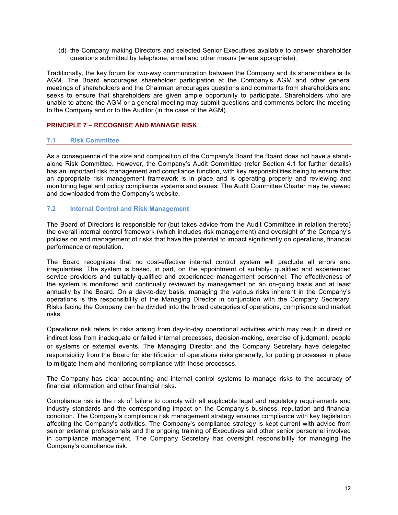(d) the Company making Directors and selected Senior Executives available to answer shareholder questions submitted by telephone, email and other means (where appropriate).

Traditionally, the key forum for two-way communication between the Company and its shareholders is its AGM. The Board encourages shareholder participation at the Company's AGM and other general meetings of shareholders and the Chairman encourages questions and comments from shareholders and seeks to ensure that shareholders are given ample opportunity to participate. Shareholders who are unable to attend the AGM or a general meeting may submit questions and comments before the meeting to the Company and or to the Auditor (in the case of the AGM).

# **PRINCIPLE 7 – RECOGNISE AND MANAGE RISK**

## **7.1 Risk Committee**

As a consequence of the size and composition of the Company's Board the Board does not have a standalone Risk Committee. However, the Company's Audit Committee (refer Section 4.1 for further details) has an important risk management and compliance function, with key responsibilities being to ensure that an appropriate risk management framework is in place and is operating properly and reviewing and monitoring legal and policy compliance systems and issues. The Audit Committee Charter may be viewed and downloaded from the Company's website.

## **7.2 Internal Control and Risk Management**

The Board of Directors is responsible for (but takes advice from the Audit Committee in relation thereto) the overall internal control framework (which includes risk management) and oversight of the Company's policies on and management of risks that have the potential to impact significantly on operations, financial performance or reputation.

The Board recognises that no cost-effective internal control system will preclude all errors and irregularities. The system is based, in part, on the appointment of suitably- qualified and experienced service providers and suitably-qualified and experienced management personnel. The effectiveness of the system is monitored and continually reviewed by management on an on-going basis and at least annually by the Board. On a day-to-day basis, managing the various risks inherent in the Company's operations is the responsibility of the Managing Director in conjunction with the Company Secretary. Risks facing the Company can be divided into the broad categories of operations, compliance and market risks.

Operations risk refers to risks arising from day-to-day operational activities which may result in direct or indirect loss from inadequate or failed internal processes, decision-making, exercise of judgment, people or systems or external events. The Managing Director and the Company Secretary have delegated responsibility from the Board for identification of operations risks generally, for putting processes in place to mitigate them and monitoring compliance with those processes.

The Company has clear accounting and internal control systems to manage risks to the accuracy of financial information and other financial risks.

Compliance risk is the risk of failure to comply with all applicable legal and regulatory requirements and industry standards and the corresponding impact on the Company's business, reputation and financial condition. The Company's compliance risk management strategy ensures compliance with key legislation affecting the Company's activities. The Company's compliance strategy is kept current with advice from senior external professionals and the ongoing training of Executives and other senior personnel involved in compliance management. The Company Secretary has oversight responsibility for managing the Company's compliance risk.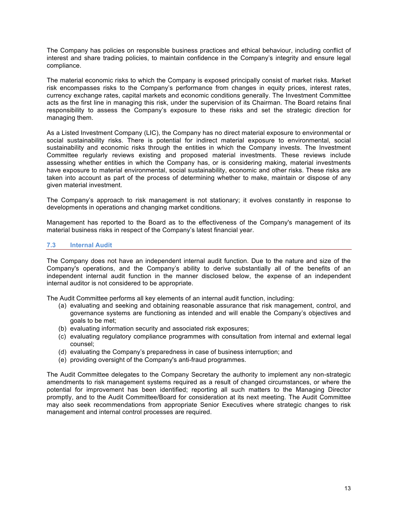The Company has policies on responsible business practices and ethical behaviour, including conflict of interest and share trading policies, to maintain confidence in the Company's integrity and ensure legal compliance.

The material economic risks to which the Company is exposed principally consist of market risks. Market risk encompasses risks to the Company's performance from changes in equity prices, interest rates, currency exchange rates, capital markets and economic conditions generally. The Investment Committee acts as the first line in managing this risk, under the supervision of its Chairman. The Board retains final responsibility to assess the Company's exposure to these risks and set the strategic direction for managing them.

As a Listed Investment Company (LIC), the Company has no direct material exposure to environmental or social sustainability risks. There is potential for indirect material exposure to environmental, social sustainability and economic risks through the entities in which the Company invests. The Investment Committee regularly reviews existing and proposed material investments. These reviews include assessing whether entities in which the Company has, or is considering making, material investments have exposure to material environmental, social sustainability, economic and other risks. These risks are taken into account as part of the process of determining whether to make, maintain or dispose of any given material investment.

The Company's approach to risk management is not stationary; it evolves constantly in response to developments in operations and changing market conditions.

Management has reported to the Board as to the effectiveness of the Company's management of its material business risks in respect of the Company's latest financial year.

# **7.3 Internal Audit**

The Company does not have an independent internal audit function. Due to the nature and size of the Company's operations, and the Company's ability to derive substantially all of the benefits of an independent internal audit function in the manner disclosed below, the expense of an independent internal auditor is not considered to be appropriate.

The Audit Committee performs all key elements of an internal audit function, including:

- (a) evaluating and seeking and obtaining reasonable assurance that risk management, control, and governance systems are functioning as intended and will enable the Company's objectives and goals to be met;
- (b) evaluating information security and associated risk exposures;
- (c) evaluating regulatory compliance programmes with consultation from internal and external legal counsel;
- (d) evaluating the Company's preparedness in case of business interruption; and
- (e) providing oversight of the Company's anti-fraud programmes.

The Audit Committee delegates to the Company Secretary the authority to implement any non-strategic amendments to risk management systems required as a result of changed circumstances, or where the potential for improvement has been identified; reporting all such matters to the Managing Director promptly, and to the Audit Committee/Board for consideration at its next meeting. The Audit Committee may also seek recommendations from appropriate Senior Executives where strategic changes to risk management and internal control processes are required.